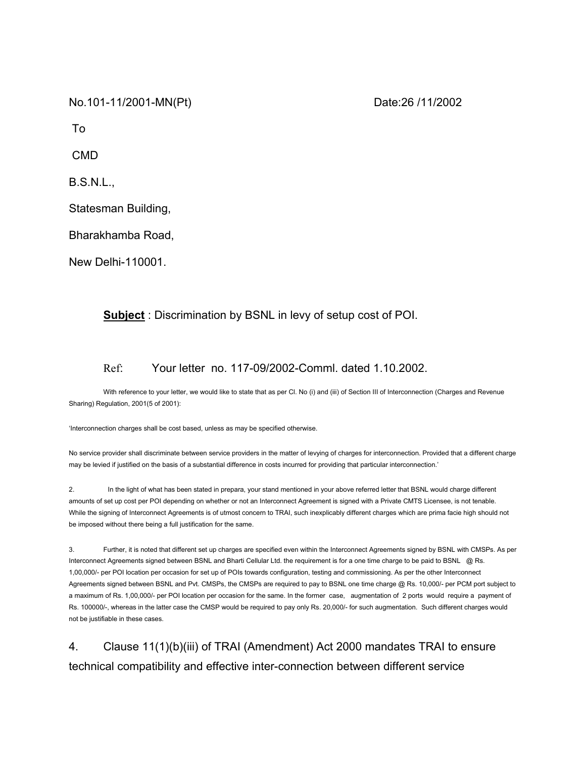No.101-11/2001-MN(Pt) Date:26 /11/2002

To

CMD

B.S.N.L.,

Statesman Building,

Bharakhamba Road,

New Delhi-110001.

## **Subject** : Discrimination by BSNL in levy of setup cost of POI.

## Ref: Your letter no. 117-09/2002-Comml. dated 1.10.2002.

With reference to your letter, we would like to state that as per Cl. No (i) and (iii) of Section III of Interconnection (Charges and Revenue Sharing) Regulation, 2001(5 of 2001):

'Interconnection charges shall be cost based, unless as may be specified otherwise.

No service provider shall discriminate between service providers in the matter of levying of charges for interconnection. Provided that a different charge may be levied if justified on the basis of a substantial difference in costs incurred for providing that particular interconnection.'

2. In the light of what has been stated in prepara, your stand mentioned in your above referred letter that BSNL would charge different amounts of set up cost per POI depending on whether or not an Interconnect Agreement is signed with a Private CMTS Licensee, is not tenable. While the signing of Interconnect Agreements is of utmost concern to TRAI, such inexplicably different charges which are prima facie high should not be imposed without there being a full justification for the same.

3. Further, it is noted that different set up charges are specified even within the Interconnect Agreements signed by BSNL with CMSPs. As per Interconnect Agreements signed between BSNL and Bharti Cellular Ltd. the requirement is for a one time charge to be paid to BSNL @ Rs. 1,00,000/- per POI location per occasion for set up of POIs towards configuration, testing and commissioning. As per the other Interconnect Agreements signed between BSNL and Pvt. CMSPs, the CMSPs are required to pay to BSNL one time charge @ Rs. 10,000/- per PCM port subject to a maximum of Rs. 1,00,000/- per POI location per occasion for the same. In the former case, augmentation of 2 ports would require a payment of Rs. 100000/-, whereas in the latter case the CMSP would be required to pay only Rs. 20,000/- for such augmentation. Such different charges would not be justifiable in these cases.

4. Clause 11(1)(b)(iii) of TRAI (Amendment) Act 2000 mandates TRAI to ensure technical compatibility and effective inter-connection between different service